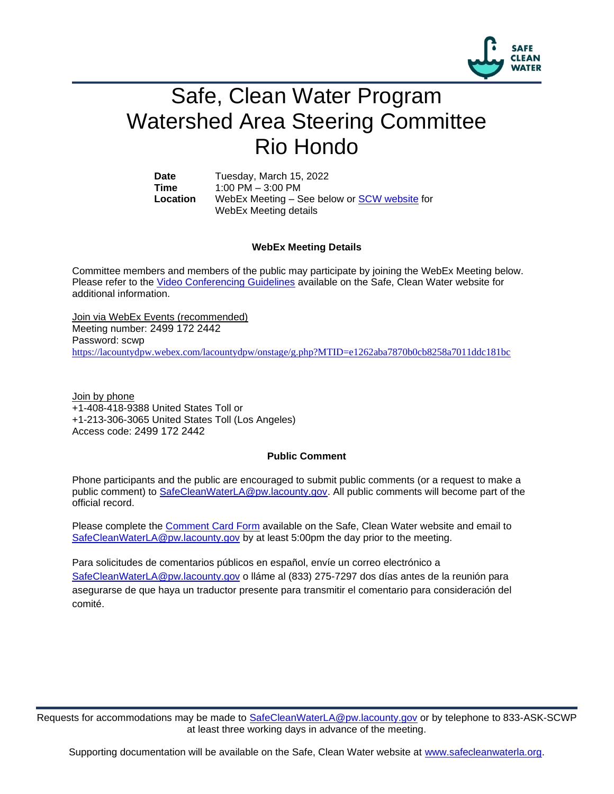

# Safe, Clean Water Program Watershed Area Steering Committee Rio Hondo

Date Tuesday, March 15, 2022 **Time** 1:00 PM – 3:00 PM **Location** WebEx Meeting – See below or [SCW website](https://safecleanwaterla.org/rio-hondo-watershed-area/) for WebEx Meeting details

### **WebEx Meeting Details**

Committee members and members of the public may participate by joining the WebEx Meeting below. Please refer to the [Video Conferencing Guidelines](https://safecleanwaterla.org/video-conference-guidelines/) available on the Safe, Clean Water website for additional information.

Join via WebEx Events (recommended) Meeting number: 2499 172 2442 Password: scwp <https://lacountydpw.webex.com/lacountydpw/onstage/g.php?MTID=e1262aba7870b0cb8258a7011ddc181bc>

Join by phone +1-408-418-9388 United States Toll or +1-213-306-3065 United States Toll (Los Angeles) Access code: 2499 172 2442

#### **Public Comment**

Phone participants and the public are encouraged to submit public comments (or a request to make a public comment) to [SafeCleanWaterLA@pw.lacounty.gov.](mailto:SafeCleanWaterLA@pw.lacounty.gov) All public comments will become part of the official record.

Please complete the Comment [Card Form](https://safecleanwaterla.org/wp-content/uploads/2020/04/Comment-Card-Form.pdf) available on the Safe, Clean Water website and email to [SafeCleanWaterLA@pw.lacounty.gov](mailto:SafeCleanWaterLA@pw.lacounty.govb) by at least 5:00pm the day prior to the meeting.

Para solicitudes de comentarios públicos en español, envíe un correo electrónico a [SafeCleanWaterLA@pw.lacounty.gov](mailto:SafeCleanWaterLA@pw.lacounty.gov) o lláme al (833) 275-7297 dos días antes de la reunión para asegurarse de que haya un traductor presente para transmitir el comentario para consideración del comité.

Requests for accommodations may be made to [SafeCleanWaterLA@pw.lacounty.gov](mailto:SafeCleanWaterLA@pw.lacounty.gov) or by telephone to 833-ASK-SCWP at least three working days in advance of the meeting.

Supporting documentation will be available on the Safe, Clean Water website at [www.safecleanwaterla.org.](http://www.safecleanwaterla.org/)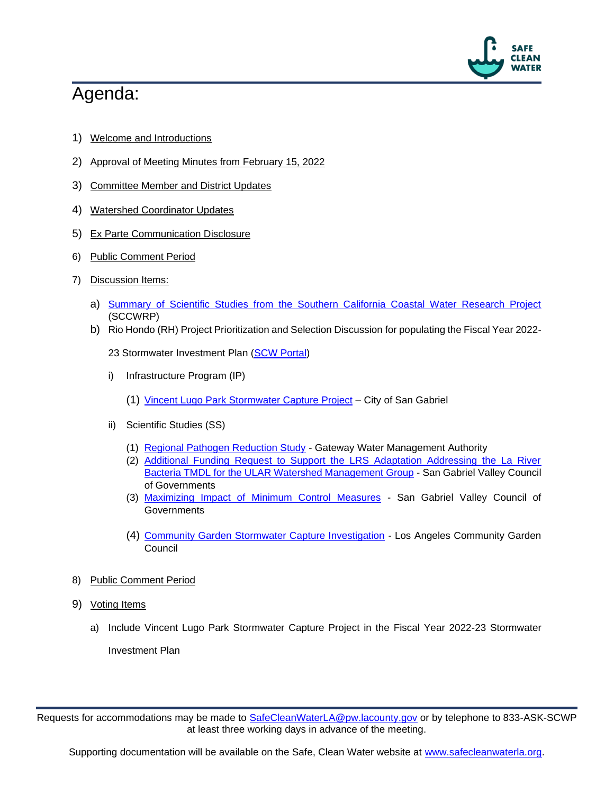

# Agenda:

- 1) Welcome and Introductions
- 2) Approval of Meeting Minutes from February 15, 2022
- 3) Committee Member and District Updates
- 4) Watershed Coordinator Updates
- 5) Ex Parte Communication Disclosure
- 6) Public Comment Period
- 7) Discussion Items:
	- a) [Summary of Scientific Studies from the Southern California Coastal Water Research Project](https://safecleanwaterla.org/wp-content/uploads/2022/03/SCCWRP-RH-SS-Studies.pdf) (SCCWRP)
	- b) Rio Hondo (RH) Project Prioritization and Selection Discussion for populating the Fiscal Year 2022-

23 Stormwater Investment Plan [\(SCW Portal\)](https://portal.safecleanwaterla.org/scw-reporting/map)

- i) Infrastructure Program (IP)
	- (1) [Vincent Lugo Park Stormwater Capture Project](https://portal.safecleanwaterla.org/projects-module-api/api/reportdownload/pdf/13/276) City of San Gabriel
- ii) Scientific Studies (SS)
	- (1) [Regional Pathogen Reduction Study](https://portal.safecleanwaterla.org/projects-module-api/api/reportdownload/pdf/21/40) Gateway Water Management Authority
	- (2) [Additional Funding Request to Support the LRS Adaptation Addressing the La River](https://portal.safecleanwaterla.org/projects-module-api/api/reportdownload/pdf/21/49)  [Bacteria TMDL for the ULAR Watershed Management Group](https://portal.safecleanwaterla.org/projects-module-api/api/reportdownload/pdf/21/49) - San Gabriel Valley Council of Governments
	- (3) [Maximizing Impact of Minimum Control Measures](https://portal.safecleanwaterla.org/projects-module-api/api/reportdownload/pdf/21/50) San Gabriel Valley Council of **Governments**
	- (4) [Community Garden Stormwater Capture Investigation](https://portal.safecleanwaterla.org/projects-module-api/api/reportdownload/pdf/21/52) Los Angeles Community Garden Council
- 8) Public Comment Period
- 9) Voting Items
	- a) Include Vincent Lugo Park Stormwater Capture Project in the Fiscal Year 2022-23 Stormwater Investment Plan

Requests for accommodations may be made to [SafeCleanWaterLA@pw.lacounty.gov](mailto:SafeCleanWaterLA@pw.lacounty.gov) or by telephone to 833-ASK-SCWP at least three working days in advance of the meeting.